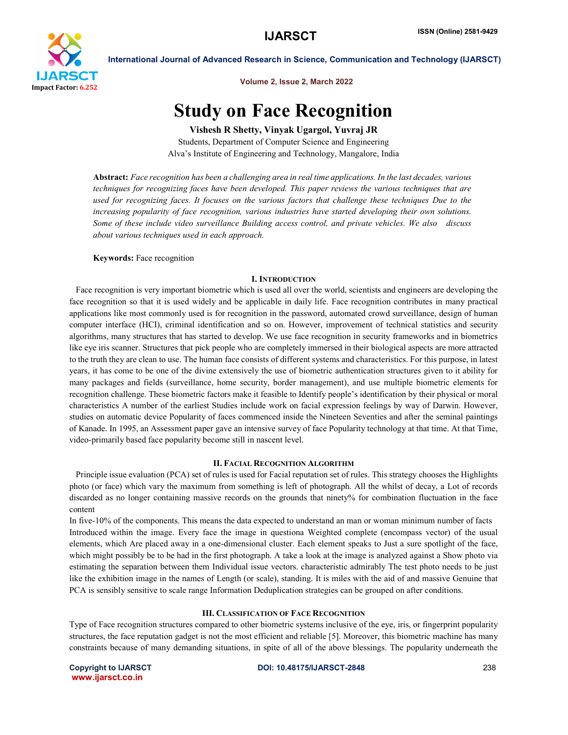

International Journal of Advanced Research in Science, Communication and Technology (IJARSCT)

Volume 2, Issue 2, March 2022

# Study on Face Recognition

Vishesh R Shetty, Vinyak Ugargol, Yuvraj JR

Students, Department of Computer Science and Engineering Alva's Institute of Engineering and Technology, Mangalore, India

Abstract: *Face recognition has been a challenging area in real time applications. In the last decades, various techniques for recognizing faces have been developed. This paper reviews the various techniques that are used for recognizing faces. It focuses on the various factors that challenge these techniques Due to the increasing popularity of face recognition, various industries have started developing their own solutions. Some of these include video surveillance Building access control, and private vehicles. We also discuss about various techniques used in each approach.*

Keywords: Face recognition

# I. INTRODUCTION

 Face recognition is very important biometric which is used all over the world, scientists and engineers are developing the face recognition so that it is used widely and be applicable in daily life. Face recognition contributes in many practical applications like most commonly used is for recognition in the password, automated crowd surveillance, design of human computer interface (HCI), criminal identification and so on. However, improvement of technical statistics and security algorithms, many structures that has started to develop. We use face recognition in security frameworks and in biometrics like eye iris scanner. Structures that pick people who are completely immersed in their biological aspects are more attracted to the truth they are clean to use. The human face consists of different systems and characteristics. For this purpose, in latest years, it has come to be one of the divine extensively the use of biometric authentication structures given to it ability for many packages and fields (surveillance, home security, border management), and use multiple biometric elements for recognition challenge. These biometric factors make it feasible to Identify people's identification by their physical or moral characteristics A number of the earliest Studies include work on facial expression feelings by way of Darwin. However, studies on automatic device Popularity of faces commenced inside the Nineteen Seventies and after the seminal paintings of Kanade. In 1995, an Assessment paper gave an intensive survey of face Popularity technology at that time. At that Time, video-primarily based face popularity become still in nascent level.

# II. FACIAL RECOGNITION ALGORITHM

 Principle issue evaluation (PCA) set of rules is used for Facial reputation set of rules. This strategy chooses the Highlights photo (or face) which vary the maximum from something is left of photograph. All the whilst of decay, a Lot of records discarded as no longer containing massive records on the grounds that ninety% for combination fluctuation in the face content

In five-10% of the components. This means the data expected to understand an man or woman minimum number of facts Introduced within the image. Every face the image in questiona Weighted complete (encompass vector) of the usual elements, which Are placed away in a one-dimensional cluster. Each element speaks to Just a sure spotlight of the face, which might possibly be to be had in the first photograph. A take a look at the image is analyzed against a Show photo via estimating the separation between them Individual issue vectors. characteristic admirably The test photo needs to be just like the exhibition image in the names of Length (or scale), standing. It is miles with the aid of and massive Genuine that PCA is sensibly sensitive to scale range Information Deduplication strategies can be grouped on after conditions.

# III. CLASSIFICATION OF FACE RECOGNITION

Type of Face recognition structures compared to other biometric systems inclusive of the eye, iris, or fingerprint popularity structures, the face reputation gadget is not the most efficient and reliable [5]. Moreover, this biometric machine has many constraints because of many demanding situations, in spite of all of the above blessings. The popularity underneath the

www.ijarsct.co.in

Copyright to IJARSCT DOI: 10.48175/IJARSCT-2848 238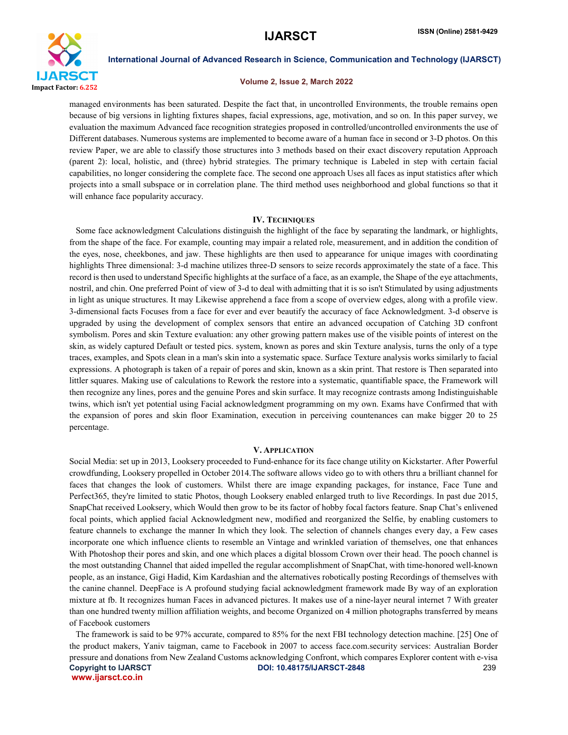

International Journal of Advanced Research in Science, Communication and Technology (IJARSCT)

## Volume 2, Issue 2, March 2022

managed environments has been saturated. Despite the fact that, in uncontrolled Environments, the trouble remains open because of big versions in lighting fixtures shapes, facial expressions, age, motivation, and so on. In this paper survey, we evaluation the maximum Advanced face recognition strategies proposed in controlled/uncontrolled environments the use of Different databases. Numerous systems are implemented to become aware of a human face in second or 3-D photos. On this review Paper, we are able to classify those structures into 3 methods based on their exact discovery reputation Approach (parent 2): local, holistic, and (three) hybrid strategies. The primary technique is Labeled in step with certain facial capabilities, no longer considering the complete face. The second one approach Uses all faces as input statistics after which projects into a small subspace or in correlation plane. The third method uses neighborhood and global functions so that it will enhance face popularity accuracy.

## IV. TECHNIQUES

 Some face acknowledgment Calculations distinguish the highlight of the face by separating the landmark, or highlights, from the shape of the face. For example, counting may impair a related role, measurement, and in addition the condition of the eyes, nose, cheekbones, and jaw. These highlights are then used to appearance for unique images with coordinating highlights Three dimensional: 3-d machine utilizes three-D sensors to seize records approximately the state of a face. This record is then used to understand Specific highlights at the surface of a face, as an example, the Shape of the eye attachments, nostril, and chin. One preferred Point of view of 3-d to deal with admitting that it is so isn't Stimulated by using adjustments in light as unique structures. It may Likewise apprehend a face from a scope of overview edges, along with a profile view. 3-dimensional facts Focuses from a face for ever and ever beautify the accuracy of face Acknowledgment. 3-d observe is upgraded by using the development of complex sensors that entire an advanced occupation of Catching 3D confront symbolism. Pores and skin Texture evaluation: any other growing pattern makes use of the visible points of interest on the skin, as widely captured Default or tested pics. system, known as pores and skin Texture analysis, turns the only of a type traces, examples, and Spots clean in a man's skin into a systematic space. Surface Texture analysis works similarly to facial expressions. A photograph is taken of a repair of pores and skin, known as a skin print. That restore is Then separated into littler squares. Making use of calculations to Rework the restore into a systematic, quantifiable space, the Framework will then recognize any lines, pores and the genuine Pores and skin surface. It may recognize contrasts among Indistinguishable twins, which isn't yet potential using Facial acknowledgment programming on my own. Exams have Confirmed that with the expansion of pores and skin floor Examination, execution in perceiving countenances can make bigger 20 to 25 percentage.

#### V. APPLICATION

Social Media: set up in 2013, Looksery proceeded to Fund-enhance for its face change utility on Kickstarter. After Powerful crowdfunding, Looksery propelled in October 2014.The software allows video go to with others thru a brilliant channel for faces that changes the look of customers. Whilst there are image expanding packages, for instance, Face Tune and Perfect365, they're limited to static Photos, though Looksery enabled enlarged truth to live Recordings. In past due 2015, SnapChat received Looksery, which Would then grow to be its factor of hobby focal factors feature. Snap Chat's enlivened focal points, which applied facial Acknowledgment new, modified and reorganized the Selfie, by enabling customers to feature channels to exchange the manner In which they look. The selection of channels changes every day, a Few cases incorporate one which influence clients to resemble an Vintage and wrinkled variation of themselves, one that enhances With Photoshop their pores and skin, and one which places a digital blossom Crown over their head. The pooch channel is the most outstanding Channel that aided impelled the regular accomplishment of SnapChat, with time-honored well-known people, as an instance, Gigi Hadid, Kim Kardashian and the alternatives robotically posting Recordings of themselves with the canine channel. DeepFace is A profound studying facial acknowledgment framework made By way of an exploration mixture at fb. It recognizes human Faces in advanced pictures. It makes use of a nine-layer neural internet 7 With greater than one hundred twenty million affiliation weights, and become Organized on 4 million photographs transferred by means of Facebook customers

Copyright to IJARSCT DOI: 10.48175/IJARSCT-2848 239 www.ijarsct.co.in The framework is said to be 97% accurate, compared to 85% for the next FBI technology detection machine. [25] One of the product makers, Yaniv taigman, came to Facebook in 2007 to access face.com.security services: Australian Border pressure and donations from New Zealand Customs acknowledging Confront, which compares Explorer content with e-visa